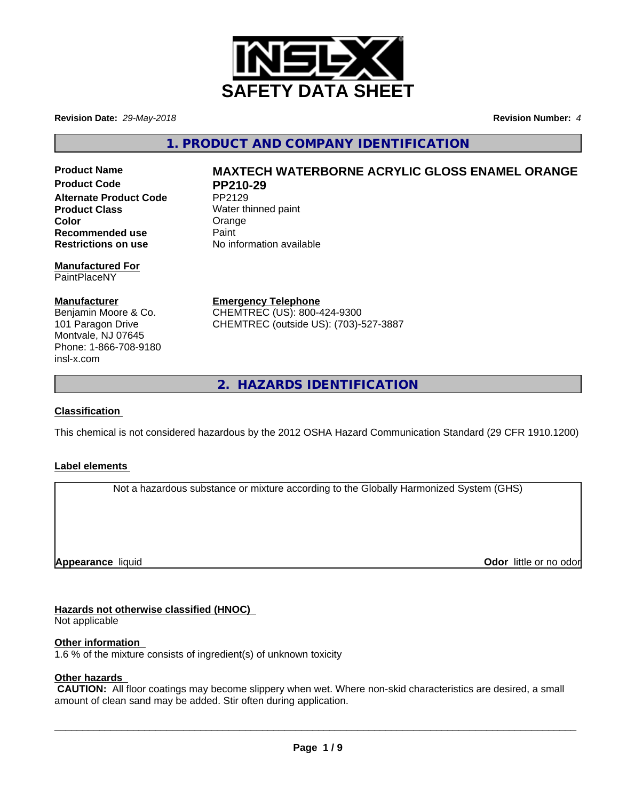

**Revision Date:** *29-May-2018* **Revision Number:** *4*

**1. PRODUCT AND COMPANY IDENTIFICATION**

**Product Code PP210-29 Alternate Product Code** PP2129 **Product Class** Water thinned paint **Color** Color Color Color<br> **Recommended use** Paint **Recommended use**<br>Restrictions on use

#### **Manufactured For** PaintPlaceNY

#### **Manufacturer**

Benjamin Moore & Co. 101 Paragon Drive Montvale, NJ 07645 Phone: 1-866-708-9180 insl-x.com

# **Product Name MAXTECH WATERBORNE ACRYLIC GLOSS ENAMEL ORANGE**

**No information available** 

**Emergency Telephone** CHEMTREC (US): 800-424-9300 CHEMTREC (outside US): (703)-527-3887

**2. HAZARDS IDENTIFICATION**

#### **Classification**

This chemical is not considered hazardous by the 2012 OSHA Hazard Communication Standard (29 CFR 1910.1200)

#### **Label elements**

Not a hazardous substance or mixture according to the Globally Harmonized System (GHS)

**Appearance** liquid

**Odor** little or no odor

#### **Hazards not otherwise classified (HNOC)**

Not applicable

#### **Other information**

1.6 % of the mixture consists of ingredient(s) of unknown toxicity

#### **Other hazards**

 **CAUTION:** All floor coatings may become slippery when wet. Where non-skid characteristics are desired, a small amount of clean sand may be added. Stir often during application.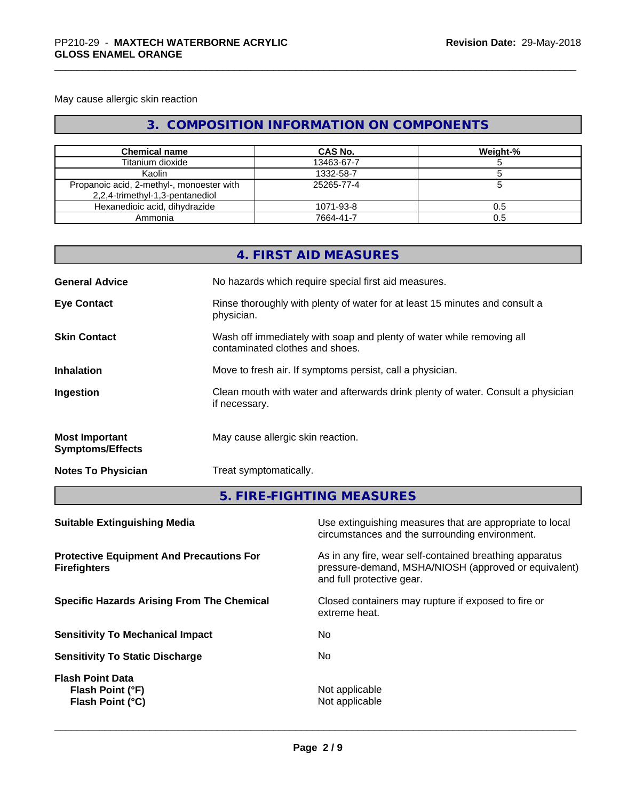May cause allergic skin reaction

# **3. COMPOSITION INFORMATION ON COMPONENTS**

| <b>Chemical name</b>                                                         | CAS No.    | Weight-% |
|------------------------------------------------------------------------------|------------|----------|
| Titanium dioxide                                                             | 13463-67-7 |          |
| Kaolin                                                                       | 1332-58-7  |          |
| Propanoic acid, 2-methyl-, monoester with<br>2,2,4-trimethyl-1,3-pentanediol | 25265-77-4 |          |
| Hexanedioic acid, dihydrazide                                                | 1071-93-8  | 0.5      |
| Ammonia                                                                      | 7664-41-7  | 0.5      |

|                                                  | 4. FIRST AID MEASURES                                                                                    |
|--------------------------------------------------|----------------------------------------------------------------------------------------------------------|
| <b>General Advice</b>                            | No hazards which require special first aid measures.                                                     |
| <b>Eye Contact</b>                               | Rinse thoroughly with plenty of water for at least 15 minutes and consult a<br>physician.                |
| <b>Skin Contact</b>                              | Wash off immediately with soap and plenty of water while removing all<br>contaminated clothes and shoes. |
| <b>Inhalation</b>                                | Move to fresh air. If symptoms persist, call a physician.                                                |
| Ingestion                                        | Clean mouth with water and afterwards drink plenty of water. Consult a physician<br>if necessary.        |
| <b>Most Important</b><br><b>Symptoms/Effects</b> | May cause allergic skin reaction.                                                                        |
| <b>Notes To Physician</b>                        | Treat symptomatically.                                                                                   |
|                                                  | 5. FIRE-FIGHTING MEASURES                                                                                |

| Use extinguishing measures that are appropriate to local<br>circumstances and the surrounding environment.                                   |
|----------------------------------------------------------------------------------------------------------------------------------------------|
| As in any fire, wear self-contained breathing apparatus<br>pressure-demand, MSHA/NIOSH (approved or equivalent)<br>and full protective gear. |
| Closed containers may rupture if exposed to fire or<br>extreme heat.                                                                         |
| No                                                                                                                                           |
| No.                                                                                                                                          |
| Not applicable<br>Not applicable                                                                                                             |
|                                                                                                                                              |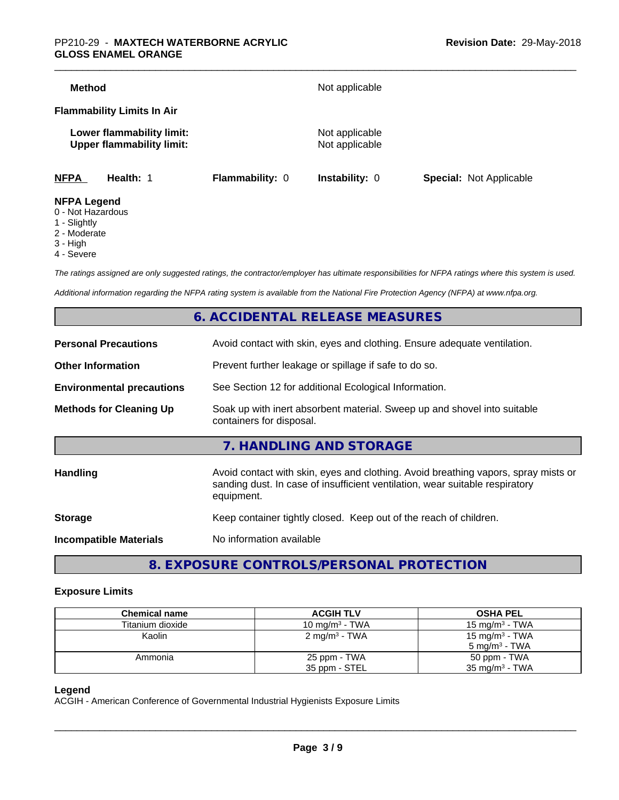| <b>Method</b>                                                 |                        | Not applicable                   |                                |
|---------------------------------------------------------------|------------------------|----------------------------------|--------------------------------|
| <b>Flammability Limits In Air</b>                             |                        |                                  |                                |
| Lower flammability limit:<br><b>Upper flammability limit:</b> |                        | Not applicable<br>Not applicable |                                |
| <b>NFPA</b><br>Health: 1                                      | <b>Flammability: 0</b> | Instability: 0                   | <b>Special: Not Applicable</b> |
| <b>NFPA Legend</b><br>$0$ Not Horordoug                       |                        |                                  |                                |

- 0 Not Hazardous
- 1 Slightly
- 2 Moderate
- 3 High
- 4 Severe

*The ratings assigned are only suggested ratings, the contractor/employer has ultimate responsibilities for NFPA ratings where this system is used.*

*Additional information regarding the NFPA rating system is available from the National Fire Protection Agency (NFPA) at www.nfpa.org.*

# **6. ACCIDENTAL RELEASE MEASURES**

| <b>Personal Precautions</b>      | Avoid contact with skin, eyes and clothing. Ensure adequate ventilation.                                                                                                         |
|----------------------------------|----------------------------------------------------------------------------------------------------------------------------------------------------------------------------------|
| <b>Other Information</b>         | Prevent further leakage or spillage if safe to do so.                                                                                                                            |
| <b>Environmental precautions</b> | See Section 12 for additional Ecological Information.                                                                                                                            |
| <b>Methods for Cleaning Up</b>   | Soak up with inert absorbent material. Sweep up and shovel into suitable<br>containers for disposal.                                                                             |
|                                  | 7. HANDLING AND STORAGE                                                                                                                                                          |
| <b>Handling</b>                  | Avoid contact with skin, eyes and clothing. Avoid breathing vapors, spray mists or<br>sanding dust. In case of insufficient ventilation, wear suitable respiratory<br>equipment. |
| <b>Storage</b>                   | Keep container tightly closed. Keep out of the reach of children.                                                                                                                |
| <b>Incompatible Materials</b>    | No information available                                                                                                                                                         |
|                                  |                                                                                                                                                                                  |

**8. EXPOSURE CONTROLS/PERSONAL PROTECTION**

#### **Exposure Limits**

| <b>Chemical name</b> | <b>ACGIH TLV</b>          | <b>OSHA PEL</b>            |
|----------------------|---------------------------|----------------------------|
| Titanium dioxide     | 10 mg/m $3$ - TWA         | 15 mg/m $3$ - TWA          |
| Kaolin               | 2 mg/m <sup>3</sup> - TWA | 15 mg/m <sup>3</sup> - TWA |
|                      |                           | 5 mg/m <sup>3</sup> - TWA  |
| Ammonia              | 25 ppm - TWA              | 50 ppm - TWA               |
|                      | 35 ppm - STEL             | $35 \text{ mg/m}^3$ - TWA  |

#### **Legend**

ACGIH - American Conference of Governmental Industrial Hygienists Exposure Limits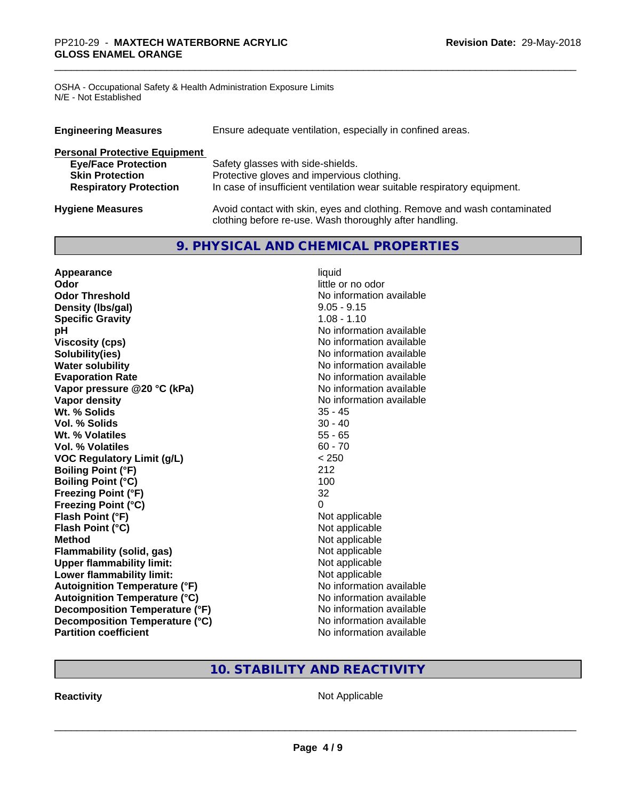OSHA - Occupational Safety & Health Administration Exposure Limits N/E - Not Established

| <b>Engineering Measures</b>          | Ensure adequate ventilation, especially in confined areas.                                                                          |
|--------------------------------------|-------------------------------------------------------------------------------------------------------------------------------------|
| <b>Personal Protective Equipment</b> |                                                                                                                                     |
| <b>Eye/Face Protection</b>           | Safety glasses with side-shields.                                                                                                   |
| <b>Skin Protection</b>               | Protective gloves and impervious clothing.                                                                                          |
| <b>Respiratory Protection</b>        | In case of insufficient ventilation wear suitable respiratory equipment.                                                            |
| <b>Hygiene Measures</b>              | Avoid contact with skin, eyes and clothing. Remove and wash contaminated<br>clothing before re-use. Wash thoroughly after handling. |

# **9. PHYSICAL AND CHEMICAL PROPERTIES**

| Appearance                           | liquid                   |
|--------------------------------------|--------------------------|
| Odor                                 | little or no odor        |
| <b>Odor Threshold</b>                | No information available |
| Density (Ibs/gal)                    | $9.05 - 9.15$            |
| <b>Specific Gravity</b>              | $1.08 - 1.10$            |
| рH                                   | No information available |
| <b>Viscosity (cps)</b>               | No information available |
| Solubility(ies)                      | No information available |
| <b>Water solubility</b>              | No information available |
| <b>Evaporation Rate</b>              | No information available |
| Vapor pressure @20 °C (kPa)          | No information available |
| Vapor density                        | No information available |
| Wt. % Solids                         | 35 - 45                  |
| Vol. % Solids                        | $30 - 40$                |
| Wt. % Volatiles                      | $55 - 65$                |
| <b>Vol. % Volatiles</b>              | $60 - 70$                |
| <b>VOC Regulatory Limit (g/L)</b>    | < 250                    |
| <b>Boiling Point (°F)</b>            | 212                      |
| <b>Boiling Point (°C)</b>            | 100                      |
| <b>Freezing Point (°F)</b>           | 32                       |
| <b>Freezing Point (°C)</b>           | 0                        |
| Flash Point (°F)                     | Not applicable           |
| Flash Point (°C)                     | Not applicable           |
| <b>Method</b>                        | Not applicable           |
| Flammability (solid, gas)            | Not applicable           |
| <b>Upper flammability limit:</b>     | Not applicable           |
| Lower flammability limit:            | Not applicable           |
| <b>Autoignition Temperature (°F)</b> | No information available |
| <b>Autoignition Temperature (°C)</b> | No information available |
| Decomposition Temperature (°F)       | No information available |
| Decomposition Temperature (°C)       | No information available |
| <b>Partition coefficient</b>         | No information available |

# **10. STABILITY AND REACTIVITY**

**Reactivity Not Applicable** Not Applicable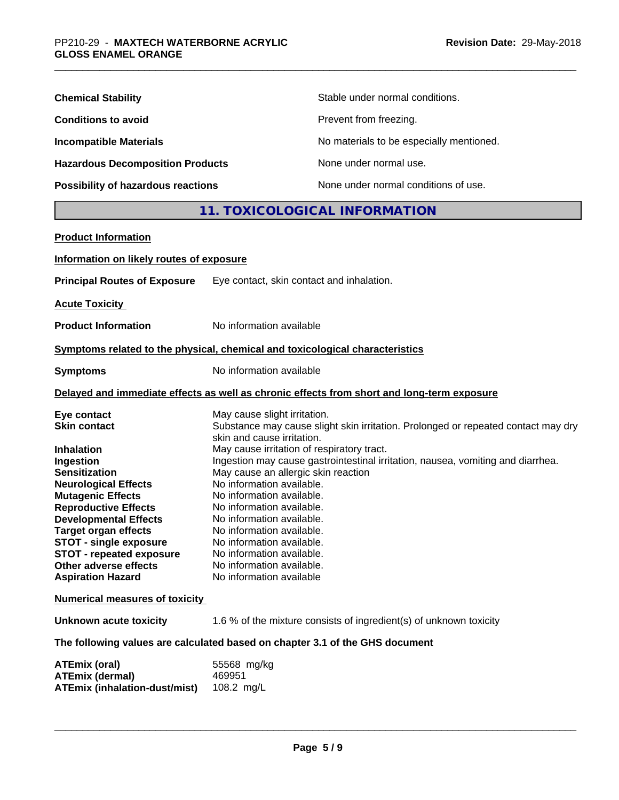| <b>Chemical Stability</b>               | Stable under normal conditions.          |
|-----------------------------------------|------------------------------------------|
| <b>Conditions to avoid</b>              | Prevent from freezing.                   |
| <b>Incompatible Materials</b>           | No materials to be especially mentioned. |
| <b>Hazardous Decomposition Products</b> | None under normal use.                   |
| Possibility of hazardous reactions      | None under normal conditions of use.     |

# **11. TOXICOLOGICAL INFORMATION**

| <b>Product Information</b>                                     |                                                                                            |
|----------------------------------------------------------------|--------------------------------------------------------------------------------------------|
| Information on likely routes of exposure                       |                                                                                            |
| <b>Principal Routes of Exposure</b>                            | Eye contact, skin contact and inhalation.                                                  |
| <b>Acute Toxicity</b>                                          |                                                                                            |
| <b>Product Information</b>                                     | No information available                                                                   |
|                                                                | Symptoms related to the physical, chemical and toxicological characteristics               |
| <b>Symptoms</b>                                                | No information available                                                                   |
|                                                                | Delayed and immediate effects as well as chronic effects from short and long-term exposure |
| Eye contact                                                    | May cause slight irritation.                                                               |
| <b>Skin contact</b>                                            | Substance may cause slight skin irritation. Prolonged or repeated contact may dry          |
|                                                                | skin and cause irritation.                                                                 |
| <b>Inhalation</b>                                              | May cause irritation of respiratory tract.                                                 |
| Ingestion                                                      | Ingestion may cause gastrointestinal irritation, nausea, vomiting and diarrhea.            |
| <b>Sensitization</b>                                           | May cause an allergic skin reaction                                                        |
| <b>Neurological Effects</b>                                    | No information available.                                                                  |
| <b>Mutagenic Effects</b>                                       | No information available.                                                                  |
| <b>Reproductive Effects</b>                                    | No information available.                                                                  |
| <b>Developmental Effects</b>                                   | No information available.                                                                  |
| <b>Target organ effects</b>                                    | No information available.                                                                  |
| <b>STOT - single exposure</b>                                  | No information available.                                                                  |
| <b>STOT - repeated exposure</b>                                | No information available.                                                                  |
| Other adverse effects                                          | No information available.                                                                  |
| <b>Aspiration Hazard</b>                                       | No information available                                                                   |
| <b>Numerical measures of toxicity</b>                          |                                                                                            |
| Unknown acute toxicity                                         | 1.6 % of the mixture consists of ingredient(s) of unknown toxicity                         |
|                                                                | The following values are calculated based on chapter 3.1 of the GHS document               |
| <b>ATEmix (oral)</b>                                           | 55568 mg/kg                                                                                |
| <b>ATEmix (dermal)</b><br><b>ATEmix (inhalation-dust/mist)</b> | 469951<br>108.2 mg/L                                                                       |
|                                                                |                                                                                            |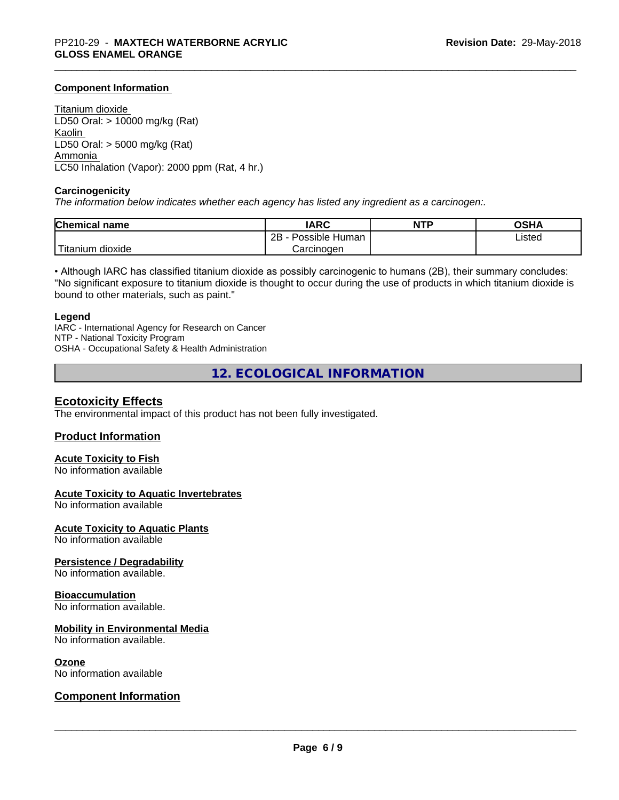#### **Component Information**

Titanium dioxide LD50 Oral: > 10000 mg/kg (Rat) Kaolin LD50 Oral: > 5000 mg/kg (Rat) Ammonia LC50 Inhalation (Vapor): 2000 ppm (Rat, 4 hr.)

#### **Carcinogenicity**

*The information below indicateswhether each agency has listed any ingredient as a carcinogen:.*

| <b>Chemical name</b>   | <b>IARC</b>                    | <b>NTP</b> | <b>OCUA</b><br>ึงอ⊓⊬ |
|------------------------|--------------------------------|------------|----------------------|
|                        | . .<br>2B<br>Human<br>Possible |            | Listed               |
| n dioxide<br>l itanıum | Carcinoɑen                     |            |                      |

• Although IARC has classified titanium dioxide as possibly carcinogenic to humans (2B), their summary concludes: "No significant exposure to titanium dioxide is thought to occur during the use of products in which titanium dioxide is bound to other materials, such as paint."

#### **Legend**

IARC - International Agency for Research on Cancer NTP - National Toxicity Program OSHA - Occupational Safety & Health Administration

**12. ECOLOGICAL INFORMATION**

#### **Ecotoxicity Effects**

The environmental impact of this product has not been fully investigated.

#### **Product Information**

# **Acute Toxicity to Fish**

No information available

#### **Acute Toxicity to Aquatic Invertebrates**

No information available

**Acute Toxicity to Aquatic Plants**

No information available

#### **Persistence / Degradability**

No information available.

#### **Bioaccumulation**

No information available.

#### **Mobility in Environmental Media**

No information available.

#### **Ozone**

No information available

#### **Component Information**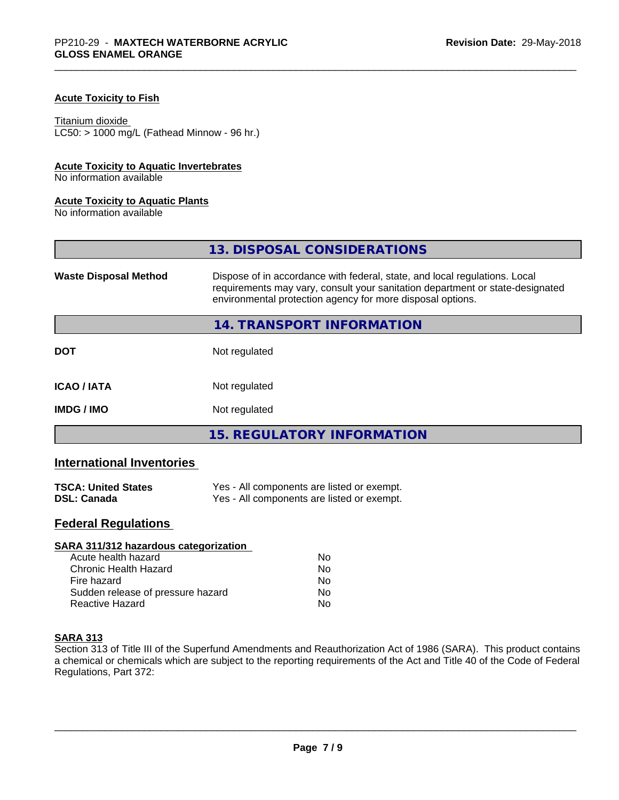#### **Acute Toxicity to Fish**

#### Titanium dioxide

 $LC50:$  > 1000 mg/L (Fathead Minnow - 96 hr.)

#### **Acute Toxicity to Aquatic Invertebrates**

No information available

#### **Acute Toxicity to Aquatic Plants**

No information available

|                              | 13. DISPOSAL CONSIDERATIONS                                                                                                                                                                                               |
|------------------------------|---------------------------------------------------------------------------------------------------------------------------------------------------------------------------------------------------------------------------|
| <b>Waste Disposal Method</b> | Dispose of in accordance with federal, state, and local regulations. Local<br>requirements may vary, consult your sanitation department or state-designated<br>environmental protection agency for more disposal options. |
|                              | 14. TRANSPORT INFORMATION                                                                                                                                                                                                 |
| <b>DOT</b>                   | Not regulated                                                                                                                                                                                                             |
| <b>ICAO/IATA</b>             | Not regulated                                                                                                                                                                                                             |
| <b>IMDG / IMO</b>            | Not regulated                                                                                                                                                                                                             |
|                              | <b>15. REGULATORY INFORMATION</b>                                                                                                                                                                                         |

# **International Inventories**

| <b>TSCA: United States</b> | Yes - All components are listed or exempt. |
|----------------------------|--------------------------------------------|
| <b>DSL: Canada</b>         | Yes - All components are listed or exempt. |

# **Federal Regulations**

| SARA 311/312 hazardous categorization |    |  |
|---------------------------------------|----|--|
| Acute health hazard                   | Nο |  |
| Chronic Health Hazard                 | No |  |
| Fire hazard                           | Nο |  |
| Sudden release of pressure hazard     | No |  |
| Reactive Hazard                       | No |  |

#### **SARA 313**

Section 313 of Title III of the Superfund Amendments and Reauthorization Act of 1986 (SARA). This product contains a chemical or chemicals which are subject to the reporting requirements of the Act and Title 40 of the Code of Federal Regulations, Part 372: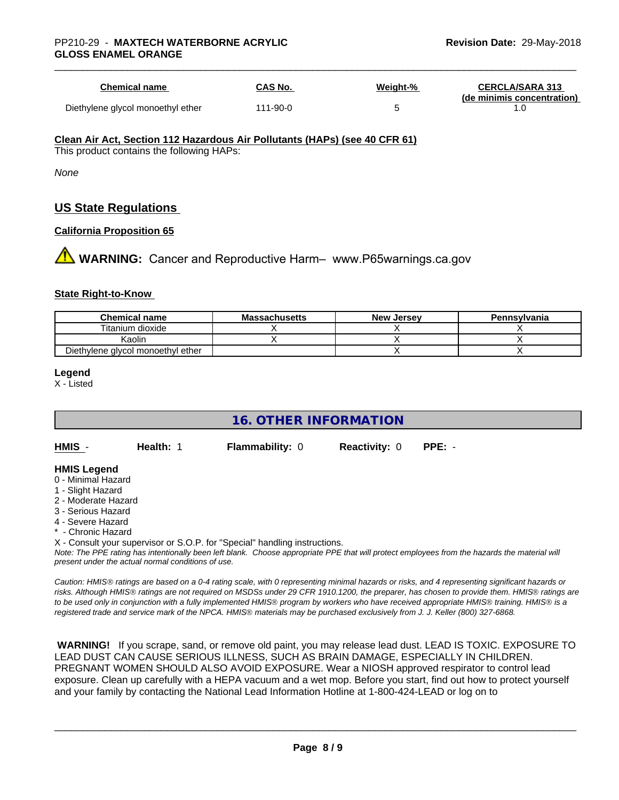| Chemical name                     | CAS No.  | Weight-% | <b>CERCLA/SARA 313</b><br>(de minimis concentration) |
|-----------------------------------|----------|----------|------------------------------------------------------|
| Diethylene glycol monoethyl ether | 111-90-0 |          |                                                      |

#### **Clean Air Act,Section 112 Hazardous Air Pollutants (HAPs) (see 40 CFR 61)**

This product contains the following HAPs:

*None*

# **US State Regulations**

#### **California Proposition 65**

**1 WARNING:** Cancer and Reproductive Harm– www.P65warnings.ca.gov

#### **State Right-to-Know**

| <b>Chemical name</b>              | <b>Massachusetts</b> | <b>New Jersey</b> | Pennsylvania |
|-----------------------------------|----------------------|-------------------|--------------|
| Titanium dioxide                  |                      |                   |              |
| Kaolin                            |                      |                   |              |
| Diethylene glycol monoethyl ether |                      |                   |              |

#### **Legend**

X - Listed

# **16. OTHER INFORMATION**

**HMIS** - **Health:** 1 **Flammability:** 0 **Reactivity:** 0 **PPE:** -

#### **HMIS Legend**

- 0 Minimal Hazard
- 1 Slight Hazard
- 2 Moderate Hazard
- 3 Serious Hazard
- 4 Severe Hazard
- **Chronic Hazard**
- X Consult your supervisor or S.O.P. for "Special" handling instructions.

*Note: The PPE rating has intentionally been left blank. Choose appropriate PPE that will protect employees from the hazards the material will present under the actual normal conditions of use.*

*Caution: HMISÒ ratings are based on a 0-4 rating scale, with 0 representing minimal hazards or risks, and 4 representing significant hazards or risks. Although HMISÒ ratings are not required on MSDSs under 29 CFR 1910.1200, the preparer, has chosen to provide them. HMISÒ ratings are to be used only in conjunction with a fully implemented HMISÒ program by workers who have received appropriate HMISÒ training. HMISÒ is a registered trade and service mark of the NPCA. HMISÒ materials may be purchased exclusively from J. J. Keller (800) 327-6868.*

 **WARNING!** If you scrape, sand, or remove old paint, you may release lead dust. LEAD IS TOXIC. EXPOSURE TO LEAD DUST CAN CAUSE SERIOUS ILLNESS, SUCH AS BRAIN DAMAGE, ESPECIALLY IN CHILDREN. PREGNANT WOMEN SHOULD ALSO AVOID EXPOSURE.Wear a NIOSH approved respirator to control lead exposure. Clean up carefully with a HEPA vacuum and a wet mop. Before you start, find out how to protect yourself and your family by contacting the National Lead Information Hotline at 1-800-424-LEAD or log on to